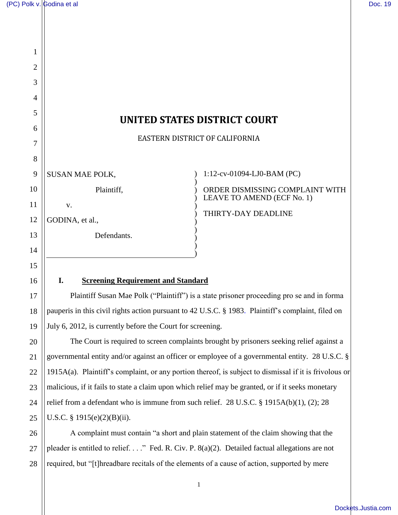17

18

19

20

21

22

23

24

25

27

28

| <b>UNITED STATES DISTRICT COURT</b> |  |  |
|-------------------------------------|--|--|
| EASTERN DISTRICT OF CALIFORNIA      |  |  |
|                                     |  |  |
| 1:12-cv-01094-LJ0-BAM (PC)          |  |  |
| ORDER DISMISSING COMPLAINT WITH     |  |  |
| LEAVE TO AMEND (ECF No. 1)          |  |  |
|                                     |  |  |
|                                     |  |  |
|                                     |  |  |
|                                     |  |  |

Plaintiff Susan Mae Polk ("Plaintiff") is a state prisoner proceeding pro se and in forma pauperis in this civil rights action pursuant to 42 U.S.C. § 1983. Plaintiff's complaint, filed on July 6, 2012, is currently before the Court for screening.

The Court is required to screen complaints brought by prisoners seeking relief against a governmental entity and/or against an officer or employee of a governmental entity. 28 U.S.C. § 1915A(a). Plaintiff's complaint, or any portion thereof, is subject to dismissal if it is frivolous or malicious, if it fails to state a claim upon which relief may be granted, or if it seeks monetary relief from a defendant who is immune from such relief. 28 U.S.C. § 1915A(b)(1), (2); 28 U.S.C. § 1915(e)(2)(B)(ii).

26 A complaint must contain "a short and plain statement of the claim showing that the pleader is entitled to relief. . . ." Fed. R. Civ. P. 8(a)(2). Detailed factual allegations are not required, but "[t]hreadbare recitals of the elements of a cause of action, supported by mere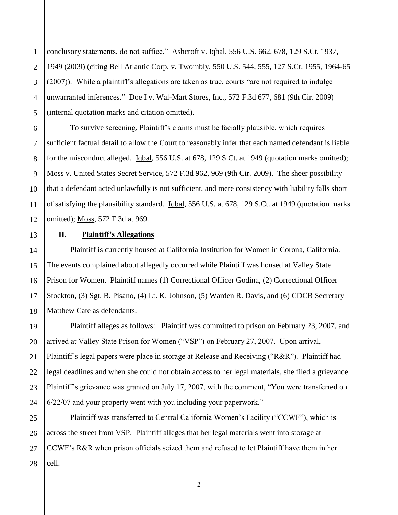conclusory statements, do not suffice." Ashcroft v. Iqbal, 556 U.S. 662, 678, 129 S.Ct. 1937, 1949 (2009) (citing Bell Atlantic Corp. v. Twombly, 550 U.S. 544, 555, 127 S.Ct. 1955, 1964-65 (2007)). While a plaintiff's allegations are taken as true, courts "are not required to indulge unwarranted inferences." Doe I v. Wal-Mart Stores, Inc., 572 F.3d 677, 681 (9th Cir. 2009) (internal quotation marks and citation omitted).

To survive screening, Plaintiff's claims must be facially plausible, which requires sufficient factual detail to allow the Court to reasonably infer that each named defendant is liable for the misconduct alleged. Iqbal, 556 U.S. at 678, 129 S.Ct. at 1949 (quotation marks omitted); Moss v. United States Secret Service, 572 F.3d 962, 969 (9th Cir. 2009). The sheer possibility that a defendant acted unlawfully is not sufficient, and mere consistency with liability falls short of satisfying the plausibility standard. Igbal, 556 U.S. at 678, 129 S.Ct. at 1949 (quotation marks omitted); Moss, 572 F.3d at 969.

#### **II. Plaintiff's Allegations**

Plaintiff is currently housed at California Institution for Women in Corona, California. The events complained about allegedly occurred while Plaintiff was housed at Valley State Prison for Women. Plaintiff names (1) Correctional Officer Godina, (2) Correctional Officer Stockton, (3) Sgt. B. Pisano, (4) Lt. K. Johnson, (5) Warden R. Davis, and (6) CDCR Secretary Matthew Cate as defendants.

Plaintiff alleges as follows: Plaintiff was committed to prison on February 23, 2007, and arrived at Valley State Prison for Women ("VSP") on February 27, 2007. Upon arrival, Plaintiff's legal papers were place in storage at Release and Receiving ("R&R"). Plaintiff had legal deadlines and when she could not obtain access to her legal materials, she filed a grievance. Plaintiff's grievance was granted on July 17, 2007, with the comment, "You were transferred on 6/22/07 and your property went with you including your paperwork."

Plaintiff was transferred to Central California Women's Facility ("CCWF"), which is across the street from VSP. Plaintiff alleges that her legal materials went into storage at CCWF's R&R when prison officials seized them and refused to let Plaintiff have them in her cell.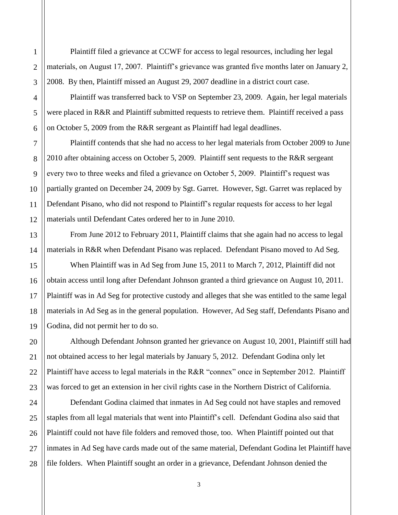Plaintiff filed a grievance at CCWF for access to legal resources, including her legal materials, on August 17, 2007. Plaintiff's grievance was granted five months later on January 2, 2008. By then, Plaintiff missed an August 29, 2007 deadline in a district court case.

Plaintiff was transferred back to VSP on September 23, 2009. Again, her legal materials were placed in R&R and Plaintiff submitted requests to retrieve them. Plaintiff received a pass on October 5, 2009 from the R&R sergeant as Plaintiff had legal deadlines.

Plaintiff contends that she had no access to her legal materials from October 2009 to June 2010 after obtaining access on October 5, 2009. Plaintiff sent requests to the R&R sergeant every two to three weeks and filed a grievance on October 5, 2009. Plaintiff's request was partially granted on December 24, 2009 by Sgt. Garret. However, Sgt. Garret was replaced by Defendant Pisano, who did not respond to Plaintiff's regular requests for access to her legal materials until Defendant Cates ordered her to in June 2010.

From June 2012 to February 2011, Plaintiff claims that she again had no access to legal materials in R&R when Defendant Pisano was replaced. Defendant Pisano moved to Ad Seg.

When Plaintiff was in Ad Seg from June 15, 2011 to March 7, 2012, Plaintiff did not obtain access until long after Defendant Johnson granted a third grievance on August 10, 2011. Plaintiff was in Ad Seg for protective custody and alleges that she was entitled to the same legal materials in Ad Seg as in the general population. However, Ad Seg staff, Defendants Pisano and Godina, did not permit her to do so.

Although Defendant Johnson granted her grievance on August 10, 2001, Plaintiff still had not obtained access to her legal materials by January 5, 2012. Defendant Godina only let Plaintiff have access to legal materials in the R&R "connex" once in September 2012. Plaintiff was forced to get an extension in her civil rights case in the Northern District of California.

Defendant Godina claimed that inmates in Ad Seg could not have staples and removed staples from all legal materials that went into Plaintiff's cell. Defendant Godina also said that Plaintiff could not have file folders and removed those, too. When Plaintiff pointed out that inmates in Ad Seg have cards made out of the same material, Defendant Godina let Plaintiff have file folders. When Plaintiff sought an order in a grievance, Defendant Johnson denied the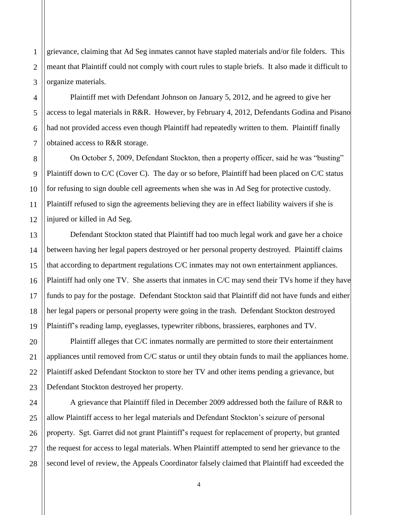grievance, claiming that Ad Seg inmates cannot have stapled materials and/or file folders. This meant that Plaintiff could not comply with court rules to staple briefs. It also made it difficult to organize materials.

Plaintiff met with Defendant Johnson on January 5, 2012, and he agreed to give her access to legal materials in R&R. However, by February 4, 2012, Defendants Godina and Pisano had not provided access even though Plaintiff had repeatedly written to them. Plaintiff finally obtained access to R&R storage.

On October 5, 2009, Defendant Stockton, then a property officer, said he was "busting" Plaintiff down to C/C (Cover C). The day or so before, Plaintiff had been placed on C/C status for refusing to sign double cell agreements when she was in Ad Seg for protective custody. Plaintiff refused to sign the agreements believing they are in effect liability waivers if she is injured or killed in Ad Seg.

Defendant Stockton stated that Plaintiff had too much legal work and gave her a choice between having her legal papers destroyed or her personal property destroyed. Plaintiff claims that according to department regulations C/C inmates may not own entertainment appliances. Plaintiff had only one TV. She asserts that inmates in C/C may send their TVs home if they have funds to pay for the postage. Defendant Stockton said that Plaintiff did not have funds and either her legal papers or personal property were going in the trash. Defendant Stockton destroyed Plaintiff's reading lamp, eyeglasses, typewriter ribbons, brassieres, earphones and TV.

Plaintiff alleges that C/C inmates normally are permitted to store their entertainment appliances until removed from C/C status or until they obtain funds to mail the appliances home. Plaintiff asked Defendant Stockton to store her TV and other items pending a grievance, but Defendant Stockton destroyed her property.

A grievance that Plaintiff filed in December 2009 addressed both the failure of R&R to allow Plaintiff access to her legal materials and Defendant Stockton's seizure of personal property. Sgt. Garret did not grant Plaintiff's request for replacement of property, but granted the request for access to legal materials. When Plaintiff attempted to send her grievance to the second level of review, the Appeals Coordinator falsely claimed that Plaintiff had exceeded the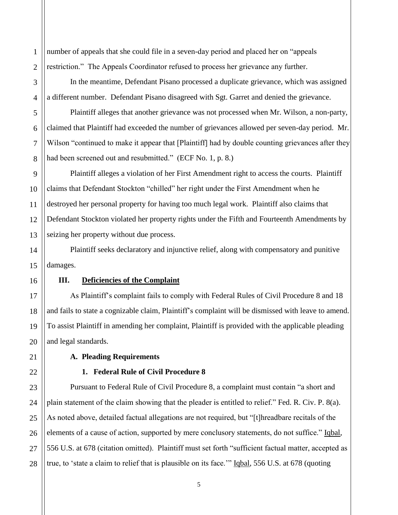1 number of appeals that she could file in a seven-day period and placed her on "appeals restriction." The Appeals Coordinator refused to process her grievance any further.

In the meantime, Defendant Pisano processed a duplicate grievance, which was assigned a different number. Defendant Pisano disagreed with Sgt. Garret and denied the grievance.

Plaintiff alleges that another grievance was not processed when Mr. Wilson, a non-party, claimed that Plaintiff had exceeded the number of grievances allowed per seven-day period. Mr. Wilson "continued to make it appear that [Plaintiff] had by double counting grievances after they had been screened out and resubmitted." (ECF No. 1, p. 8.)

Plaintiff alleges a violation of her First Amendment right to access the courts. Plaintiff claims that Defendant Stockton "chilled" her right under the First Amendment when he destroyed her personal property for having too much legal work. Plaintiff also claims that Defendant Stockton violated her property rights under the Fifth and Fourteenth Amendments by seizing her property without due process.

Plaintiff seeks declaratory and injunctive relief, along with compensatory and punitive damages.

# **III. Deficiencies of the Complaint**

As Plaintiff's complaint fails to comply with Federal Rules of Civil Procedure 8 and 18 and fails to state a cognizable claim, Plaintiff's complaint will be dismissed with leave to amend. To assist Plaintiff in amending her complaint, Plaintiff is provided with the applicable pleading and legal standards.

# **A. Pleading Requirements**

# **1. Federal Rule of Civil Procedure 8**

Pursuant to Federal Rule of Civil Procedure 8, a complaint must contain "a short and plain statement of the claim showing that the pleader is entitled to relief." Fed. R. Civ. P. 8(a). As noted above, detailed factual allegations are not required, but "[t]hreadbare recitals of the elements of a cause of action, supported by mere conclusory statements, do not suffice." Iqbal, 556 U.S. at 678 (citation omitted). Plaintiff must set forth "sufficient factual matter, accepted as true, to 'state a claim to relief that is plausible on its face." Iqbal, 556 U.S. at 678 (quoting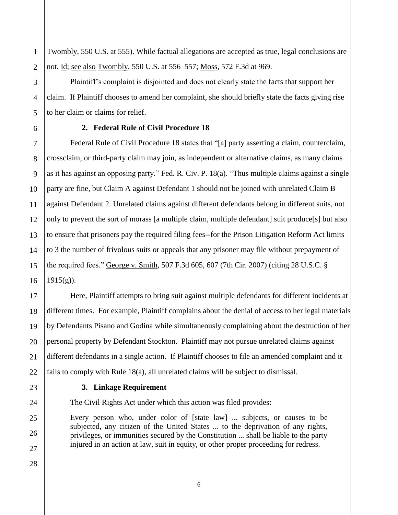Twombly, 550 U.S. at 555). While factual allegations are accepted as true, legal conclusions are not. Id; see also Twombly, 550 U.S. at 556–557; Moss, 572 F.3d at 969.

Plaintiff's complaint is disjointed and does not clearly state the facts that support her claim. If Plaintiff chooses to amend her complaint, she should briefly state the facts giving rise to her claim or claims for relief.

# **2. Federal Rule of Civil Procedure 18**

Federal Rule of Civil Procedure 18 states that "[a] party asserting a claim, counterclaim, crossclaim, or third-party claim may join, as independent or alternative claims, as many claims as it has against an opposing party." Fed. R. Civ. P. 18(a). "Thus multiple claims against a single party are fine, but Claim A against Defendant 1 should not be joined with unrelated Claim B against Defendant 2. Unrelated claims against different defendants belong in different suits, not only to prevent the sort of morass [a multiple claim, multiple defendant] suit produce[s] but also to ensure that prisoners pay the required filing fees--for the Prison Litigation Reform Act limits to 3 the number of frivolous suits or appeals that any prisoner may file without prepayment of the required fees." George v. Smith, 507 F.3d 605, 607 (7th Cir. 2007) (citing 28 U.S.C. §  $1915(g)$ ).

Here, Plaintiff attempts to bring suit against multiple defendants for different incidents at different times. For example, Plaintiff complains about the denial of access to her legal materials by Defendants Pisano and Godina while simultaneously complaining about the destruction of her personal property by Defendant Stockton. Plaintiff may not pursue unrelated claims against different defendants in a single action. If Plaintiff chooses to file an amended complaint and it fails to comply with Rule 18(a), all unrelated claims will be subject to dismissal.

#### **3. Linkage Requirement**

The Civil Rights Act under which this action was filed provides:

Every person who, under color of [state law] ... subjects, or causes to be subjected, any citizen of the United States ... to the deprivation of any rights, privileges, or immunities secured by the Constitution ... shall be liable to the party injured in an action at law, suit in equity, or other proper proceeding for redress.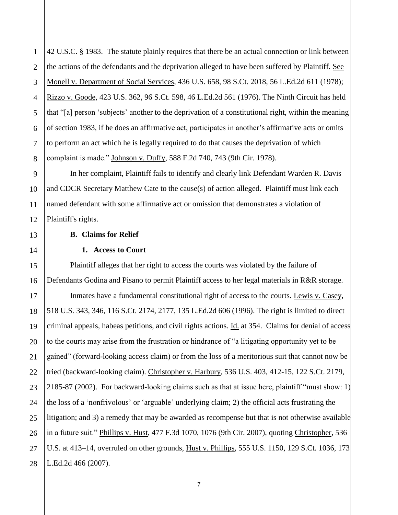42 U.S.C. § 1983. The statute plainly requires that there be an actual connection or link between the actions of the defendants and the deprivation alleged to have been suffered by Plaintiff. See Monell v. Department of Social Services, 436 U.S. 658, 98 S.Ct. 2018, 56 L.Ed.2d 611 (1978); Rizzo v. Goode, 423 U.S. 362, 96 S.Ct. 598, 46 L.Ed.2d 561 (1976). The Ninth Circuit has held that "[a] person 'subjects' another to the deprivation of a constitutional right, within the meaning of section 1983, if he does an affirmative act, participates in another's affirmative acts or omits to perform an act which he is legally required to do that causes the deprivation of which complaint is made." Johnson v. Duffy, 588 F.2d 740, 743 (9th Cir. 1978).

In her complaint, Plaintiff fails to identify and clearly link Defendant Warden R. Davis and CDCR Secretary Matthew Cate to the cause(s) of action alleged. Plaintiff must link each named defendant with some affirmative act or omission that demonstrates a violation of Plaintiff's rights.

## **B. Claims for Relief**

# **1. Access to Court**

Plaintiff alleges that her right to access the courts was violated by the failure of Defendants Godina and Pisano to permit Plaintiff access to her legal materials in R&R storage.

Inmates have a fundamental constitutional right of access to the courts. Lewis v. Casey, 518 U.S. 343, 346, 116 S.Ct. 2174, 2177, 135 L.Ed.2d 606 (1996). The right is limited to direct criminal appeals, habeas petitions, and civil rights actions. Id. at 354. Claims for denial of access to the courts may arise from the frustration or hindrance of "a litigating opportunity yet to be gained" (forward-looking access claim) or from the loss of a meritorious suit that cannot now be tried (backward-looking claim). Christopher v. Harbury, 536 U.S. 403, 412-15, 122 S.Ct. 2179, 2185-87 (2002). For backward-looking claims such as that at issue here, plaintiff "must show: 1) the loss of a 'nonfrivolous' or 'arguable' underlying claim; 2) the official acts frustrating the litigation; and 3) a remedy that may be awarded as recompense but that is not otherwise available in a future suit." Phillips v. Hust, 477 F.3d 1070, 1076 (9th Cir. 2007), quoting Christopher, 536 U.S. at 413–14, overruled on other grounds, Hust v. Phillips, 555 U.S. 1150, 129 S.Ct. 1036, 173 L.Ed.2d 466 (2007).

1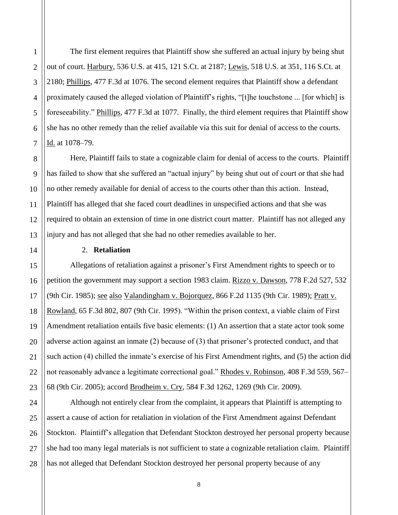The first element requires that Plaintiff show she suffered an actual injury by being shut out of court. Harbury, 536 U.S. at 415, 121 S.Ct. at 2187; Lewis, 518 U.S. at 351, 116 S.Ct. at 2180; Phillips, 477 F.3d at 1076. The second element requires that Plaintiff show a defendant proximately caused the alleged violation of Plaintiff's rights, "[t]he touchstone ... [for which] is foreseeability." Phillips, 477 F.3d at 1077. Finally, the third element requires that Plaintiff show she has no other remedy than the relief available via this suit for denial of access to the courts. Id. at 1078–79.

Here, Plaintiff fails to state a cognizable claim for denial of access to the courts. Plaintiff has failed to show that she suffered an "actual injury" by being shut out of court or that she had no other remedy available for denial of access to the courts other than this action. Instead, Plaintiff has alleged that she faced court deadlines in unspecified actions and that she was required to obtain an extension of time in one district court matter. Plaintiff has not alleged any injury and has not alleged that she had no other remedies available to her.

# 2. **Retaliation**

Allegations of retaliation against a prisoner's First Amendment rights to speech or to petition the government may support a section 1983 claim. Rizzo v. Dawson, 778 F.2d 527, 532 (9th Cir. 1985); see also Valandingham v. Bojorquez, 866 F.2d 1135 (9th Cir. 1989); Pratt v. Rowland, 65 F.3d 802, 807 (9th Cir. 1995). "Within the prison context, a viable claim of First Amendment retaliation entails five basic elements: (1) An assertion that a state actor took some adverse action against an inmate (2) because of (3) that prisoner's protected conduct, and that such action (4) chilled the inmate's exercise of his First Amendment rights, and (5) the action did not reasonably advance a legitimate correctional goal." Rhodes v. Robinson, 408 F.3d 559, 567-68 (9th Cir. 2005); accord Brodheim v. Cry, 584 F.3d 1262, 1269 (9th Cir. 2009).

Although not entirely clear from the complaint, it appears that Plaintiff is attempting to assert a cause of action for retaliation in violation of the First Amendment against Defendant Stockton. Plaintiff's allegation that Defendant Stockton destroyed her personal property because she had too many legal materials is not sufficient to state a cognizable retaliation claim. Plaintiff has not alleged that Defendant Stockton destroyed her personal property because of any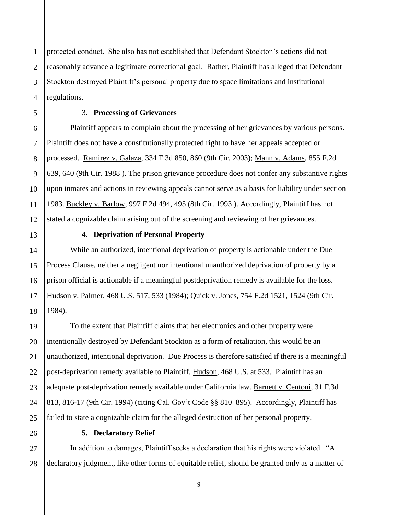protected conduct. She also has not established that Defendant Stockton's actions did not reasonably advance a legitimate correctional goal. Rather, Plaintiff has alleged that Defendant Stockton destroyed Plaintiff's personal property due to space limitations and institutional regulations.

# 3. **Processing of Grievances**

Plaintiff appears to complain about the processing of her grievances by various persons. Plaintiff does not have a constitutionally protected right to have her appeals accepted or processed. Ramirez v. Galaza, 334 F.3d 850, 860 (9th Cir. 2003); Mann v. Adams, 855 F.2d 639, 640 (9th Cir. 1988 ). The prison grievance procedure does not confer any substantive rights upon inmates and actions in reviewing appeals cannot serve as a basis for liability under section 1983. Buckley v. Barlow, 997 F.2d 494, 495 (8th Cir. 1993 ). Accordingly, Plaintiff has not stated a cognizable claim arising out of the screening and reviewing of her grievances.

## **4. Deprivation of Personal Property**

While an authorized, intentional deprivation of property is actionable under the Due Process Clause, neither a negligent nor intentional unauthorized deprivation of property by a prison official is actionable if a meaningful postdeprivation remedy is available for the loss. Hudson v. Palmer, 468 U.S. 517, 533 (1984); Quick v. Jones, 754 F.2d 1521, 1524 (9th Cir. 1984).

To the extent that Plaintiff claims that her electronics and other property were intentionally destroyed by Defendant Stockton as a form of retaliation, this would be an unauthorized, intentional deprivation. Due Process is therefore satisfied if there is a meaningful post-deprivation remedy available to Plaintiff. Hudson, 468 U.S. at 533. Plaintiff has an adequate post-deprivation remedy available under California law. Barnett v. Centoni, 31 F.3d 813, 816-17 (9th Cir. 1994) (citing Cal. Gov't Code §§ 810–895). Accordingly, Plaintiff has failed to state a cognizable claim for the alleged destruction of her personal property.

# **5. Declaratory Relief**

In addition to damages, Plaintiff seeks a declaration that his rights were violated. "A declaratory judgment, like other forms of equitable relief, should be granted only as a matter of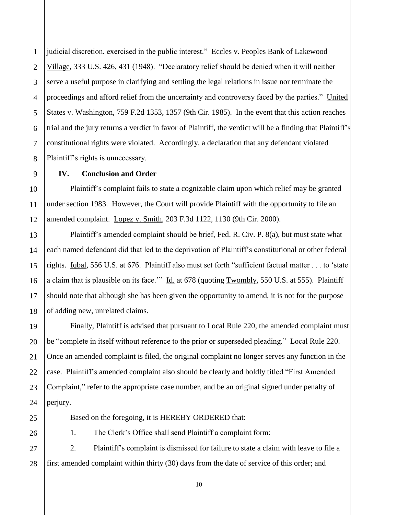judicial discretion, exercised in the public interest." Eccles v. Peoples Bank of Lakewood Village, 333 U.S. 426, 431 (1948). "Declaratory relief should be denied when it will neither serve a useful purpose in clarifying and settling the legal relations in issue nor terminate the proceedings and afford relief from the uncertainty and controversy faced by the parties." United States v. Washington, 759 F.2d 1353, 1357 (9th Cir. 1985). In the event that this action reaches trial and the jury returns a verdict in favor of Plaintiff, the verdict will be a finding that Plaintiff's constitutional rights were violated. Accordingly, a declaration that any defendant violated Plaintiff's rights is unnecessary.

# **IV. Conclusion and Order**

Plaintiff's complaint fails to state a cognizable claim upon which relief may be granted under section 1983. However, the Court will provide Plaintiff with the opportunity to file an amended complaint. Lopez v. Smith, 203 F.3d 1122, 1130 (9th Cir. 2000).

Plaintiff's amended complaint should be brief, Fed. R. Civ. P. 8(a), but must state what each named defendant did that led to the deprivation of Plaintiff's constitutional or other federal rights. Iqbal, 556 U.S. at 676. Plaintiff also must set forth "sufficient factual matter . . . to 'state a claim that is plausible on its face." Id. at 678 (quoting Twombly, 550 U.S. at 555). Plaintiff should note that although she has been given the opportunity to amend, it is not for the purpose of adding new, unrelated claims.

Finally, Plaintiff is advised that pursuant to Local Rule 220, the amended complaint must be "complete in itself without reference to the prior or superseded pleading." Local Rule 220. Once an amended complaint is filed, the original complaint no longer serves any function in the case. Plaintiff's amended complaint also should be clearly and boldly titled "First Amended Complaint," refer to the appropriate case number, and be an original signed under penalty of perjury.

Based on the foregoing, it is HEREBY ORDERED that:

1. The Clerk's Office shall send Plaintiff a complaint form;

2. Plaintiff's complaint is dismissed for failure to state a claim with leave to file a first amended complaint within thirty (30) days from the date of service of this order; and

10